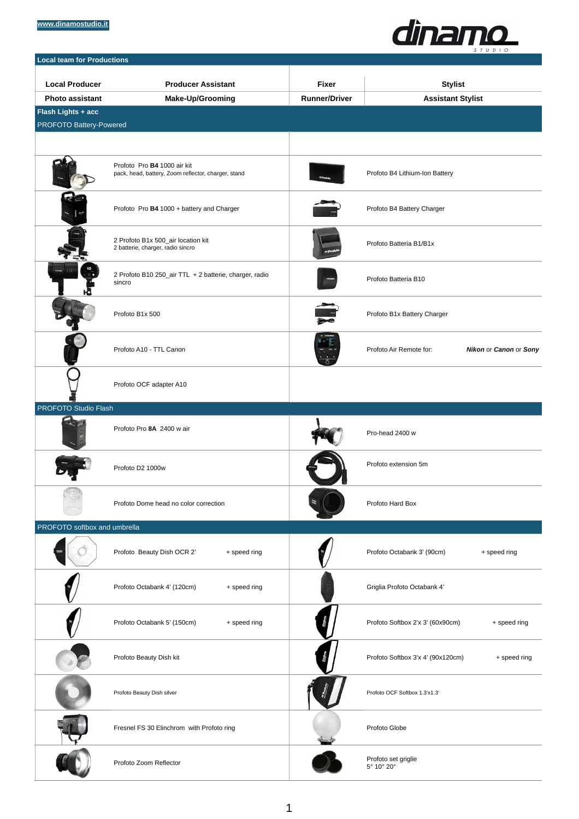#### **[www.dinamostudio.it](http://www.dinamostudio.it)**



| <b>Local team for Productions</b>                    |                                                                                    |                      |                                                   |
|------------------------------------------------------|------------------------------------------------------------------------------------|----------------------|---------------------------------------------------|
|                                                      |                                                                                    |                      |                                                   |
| <b>Local Producer</b>                                | <b>Producer Assistant</b>                                                          | <b>Fixer</b>         | <b>Stylist</b>                                    |
| <b>Photo assistant</b>                               | <b>Make-Up/Grooming</b>                                                            | <b>Runner/Driver</b> | <b>Assistant Stylist</b>                          |
| Flash Lights + acc<br><b>PROFOTO Battery-Powered</b> |                                                                                    |                      |                                                   |
|                                                      |                                                                                    |                      |                                                   |
|                                                      |                                                                                    |                      |                                                   |
|                                                      | Profoto Pro B4 1000 air kit<br>pack, head, battery, Zoom reflector, charger, stand |                      | Profoto B4 Lithium-Ion Battery                    |
|                                                      | Profoto Pro B4 1000 + battery and Charger                                          |                      | Profoto B4 Battery Charger                        |
|                                                      | 2 Profoto B1x 500_air location kit<br>2 batterie, charger, radio sincro            |                      | Profoto Batteria B1/B1x                           |
|                                                      | 2 Profoto B10 250_air TTL + 2 batterie, charger, radio<br>sincro                   |                      | Profoto Batteria B10                              |
|                                                      | Profoto B1x 500                                                                    |                      | Profoto B1x Battery Charger                       |
|                                                      | Profoto A10 - TTL Canon                                                            |                      | Profoto Air Remote for:<br>Nikon or Canon or Sony |
|                                                      | Profoto OCF adapter A10                                                            |                      |                                                   |
| PROFOTO Studio Flash                                 |                                                                                    |                      |                                                   |
|                                                      | Profoto Pro 8A 2400 w air                                                          |                      | Pro-head 2400 w                                   |
|                                                      | Profoto D2 1000w                                                                   |                      | Profoto extension 5m                              |
|                                                      | Profoto Dome head no color correction                                              |                      | Profoto Hard Box                                  |
| PROFOTO softbox and umbrella                         |                                                                                    |                      |                                                   |
|                                                      | Profoto Beauty Dish OCR 2'<br>+ speed ring                                         |                      | Profoto Octabank 3' (90cm)<br>+ speed ring        |
|                                                      | Profoto Octabank 4' (120cm)<br>+ speed ring                                        |                      | Griglia Profoto Octabank 4'                       |
|                                                      | Profoto Octabank 5' (150cm)<br>+ speed ring                                        |                      | Profoto Softbox 2'x 3' (60x90cm)<br>+ speed ring  |
|                                                      | Profoto Beauty Dish kit                                                            |                      | Profoto Softbox 3'x 4' (90x120cm)<br>+ speed ring |
|                                                      | Profoto Beauty Dish silver                                                         |                      | Profoto OCF Softbox 1.3'x1.3'                     |
|                                                      | Fresnel FS 30 Elinchrom with Profoto ring                                          |                      | Profoto Globe                                     |
|                                                      | Profoto Zoom Reflector                                                             |                      | Profoto set griglie<br>5° 10° 20°                 |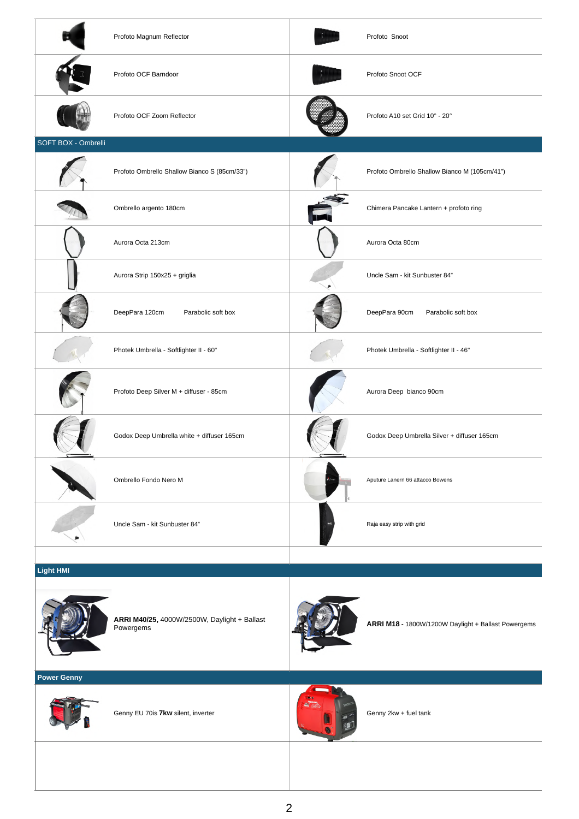|                     | Profoto Magnum Reflector                     | Profoto Snoot                                 |
|---------------------|----------------------------------------------|-----------------------------------------------|
|                     | Profoto OCF Barndoor                         | Profoto Snoot OCF                             |
|                     | Profoto OCF Zoom Reflector                   | Profoto A10 set Grid 10° - 20°                |
| SOFT BOX - Ombrelli |                                              |                                               |
|                     | Profoto Ombrello Shallow Bianco S (85cm/33") | Profoto Ombrello Shallow Bianco M (105cm/41") |
|                     | Ombrello argento 180cm                       | Chimera Pancake Lantern + profoto ring        |
|                     | Aurora Octa 213cm                            | Aurora Octa 80cm                              |
|                     | Aurora Strip 150x25 + griglia                | Uncle Sam - kit Sunbuster 84"                 |
|                     | DeepPara 120cm<br>Parabolic soft box         | DeepPara 90cm<br>Parabolic soft box           |
|                     | Photek Umbrella - Softlighter II - 60"       | Photek Umbrella - Softlighter II - 46"        |
|                     | Profoto Deep Silver M + diffuser - 85cm      | Aurora Deep bianco 90cm                       |
|                     | Godox Deep Umbrella white + diffuser 165cm   | Godox Deep Umbrella Silver + diffuser 165cm   |
|                     | Ombrello Fondo Nero M                        | Aputure Lanern 66 attacco Bowens              |
|                     | Uncle Sam - kit Sunbuster 84"                | Raja easy strip with grid                     |
|                     |                                              |                                               |

### **Light HMI**



**ARRI M40/25,** 4000W/2500W, Daylight + Ballast Powergems **ARRI M18 -** 1800W/1200W Daylight + Ballast Powergems



## **Power Genny**



Genny EU 70is **7kw** silent, inverter Genny 2kw + fuel tank

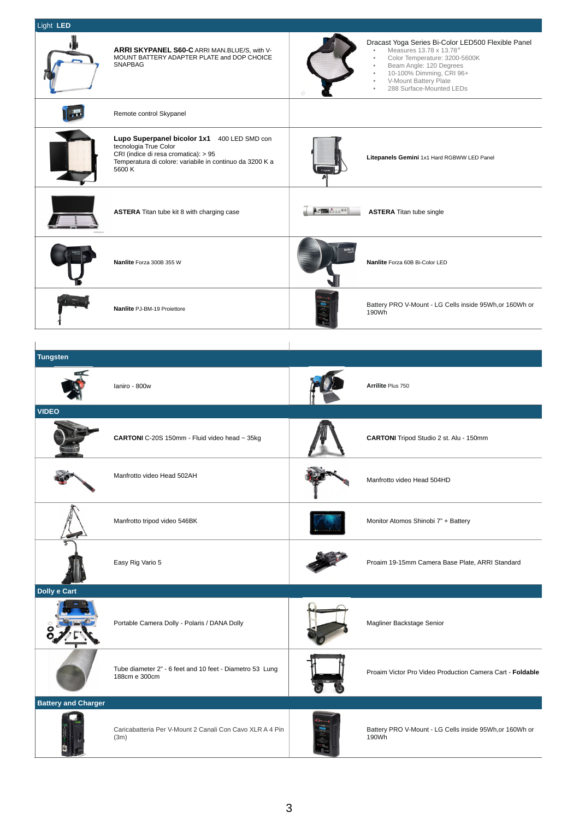|                            | ARRI SKYPANEL S60-C ARRI MAN.BLUE/S, with V-<br>MOUNT BATTERY ADAPTER PLATE and DOP CHOICE<br><b>SNAPBAG</b>                                                                       |            | Dracast Yoga Series Bi-Color LED500 Flexible Panel<br>Measures 13.78 x 13.78"<br>$\bullet$<br>Color Temperature: 3200-5600K<br>Beam Angle: 120 Degrees<br>$\ddot{\phantom{a}}$<br>10-100% Dimming, CRI 96+<br>V-Mount Battery Plate<br>$\bullet$<br>288 Surface-Mounted LEDs<br>$\ddot{\phantom{a}}$ |
|----------------------------|------------------------------------------------------------------------------------------------------------------------------------------------------------------------------------|------------|------------------------------------------------------------------------------------------------------------------------------------------------------------------------------------------------------------------------------------------------------------------------------------------------------|
|                            | Remote control Skypanel                                                                                                                                                            |            |                                                                                                                                                                                                                                                                                                      |
|                            | Lupo Superpanel bicolor 1x1 400 LED SMD con<br>tecnologia True Color<br>CRI (indice di resa cromatica): > 95<br>Temperatura di colore: variabile in continuo da 3200 K a<br>5600 K |            | Litepanels Gemini 1x1 Hard RGBWW LED Panel                                                                                                                                                                                                                                                           |
|                            | <b>ASTERA</b> Titan tube kit 8 with charging case                                                                                                                                  | 6 00000000 | <b>ASTERA</b> Titan tube single                                                                                                                                                                                                                                                                      |
|                            | Nanlite Forza 300B 355 W                                                                                                                                                           |            | Nanlite Forza 60B Bi-Color LED                                                                                                                                                                                                                                                                       |
|                            | Nanlite PJ-BM-19 Proiettore                                                                                                                                                        |            | Battery PRO V-Mount - LG Cells inside 95Wh, or 160Wh or<br>190Wh                                                                                                                                                                                                                                     |
|                            |                                                                                                                                                                                    |            |                                                                                                                                                                                                                                                                                                      |
| <b>Tungsten</b>            |                                                                                                                                                                                    |            |                                                                                                                                                                                                                                                                                                      |
|                            | laniro - 800w                                                                                                                                                                      |            | Arrilite Plus 750                                                                                                                                                                                                                                                                                    |
|                            |                                                                                                                                                                                    |            |                                                                                                                                                                                                                                                                                                      |
| <b>VIDEO</b>               |                                                                                                                                                                                    |            |                                                                                                                                                                                                                                                                                                      |
|                            | CARTONI C-20S 150mm - Fluid video head ~ 35kg                                                                                                                                      |            | CARTONI Tripod Studio 2 st. Alu - 150mm                                                                                                                                                                                                                                                              |
|                            | Manfrotto video Head 502AH                                                                                                                                                         |            | Manfrotto video Head 504HD                                                                                                                                                                                                                                                                           |
|                            | Manfrotto tripod video 546BK                                                                                                                                                       |            | Monitor Atomos Shinobi 7" + Battery                                                                                                                                                                                                                                                                  |
|                            | Easy Rig Vario 5                                                                                                                                                                   |            | Proaim 19-15mm Camera Base Plate, ARRI Standard                                                                                                                                                                                                                                                      |
| Dolly e Cart               |                                                                                                                                                                                    |            |                                                                                                                                                                                                                                                                                                      |
|                            | Portable Camera Dolly - Polaris / DANA Dolly                                                                                                                                       |            | Magliner Backstage Senior                                                                                                                                                                                                                                                                            |
|                            | Tube diameter 2" - 6 feet and 10 feet - Diametro 53 Lung<br>188cm e 300cm                                                                                                          |            | Proaim Victor Pro Video Production Camera Cart - Foldable                                                                                                                                                                                                                                            |
| <b>Battery and Charger</b> |                                                                                                                                                                                    |            |                                                                                                                                                                                                                                                                                                      |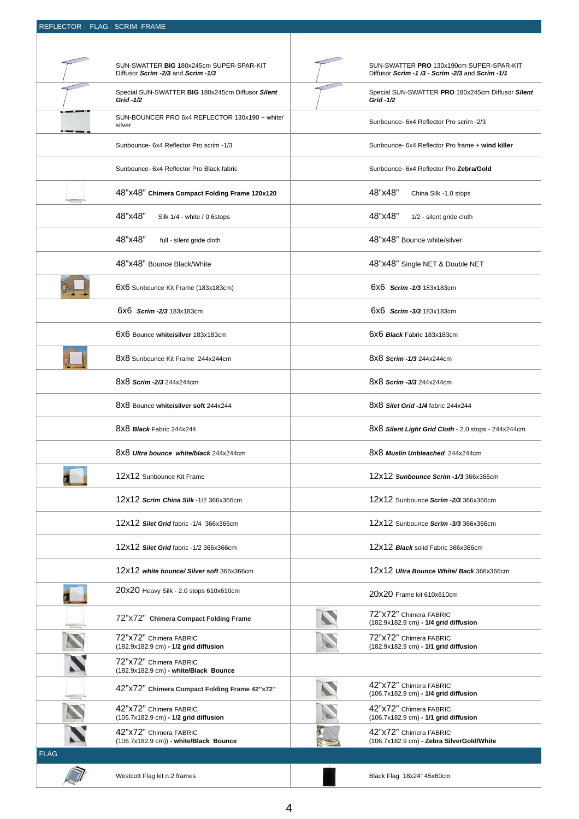#### REFLECTOR - FLAG - SCRIM FRAME

|             | SUN-SWATTER BIG 180x245cm SUPER-SPAR-KIT<br>Diffusor Scrim -2/3 and Scrim -1/3 | SUN-SWATTER PRO 130x190cm SUPER-SPAR-KIT<br>Diffusor Scrim -1/3 - Scrim -2/3 and Scrim -1/1 |
|-------------|--------------------------------------------------------------------------------|---------------------------------------------------------------------------------------------|
|             | Special SUN-SWATTER BIG 180x245cm Diffusor Silent<br>Grid -1/2                 | Special SUN-SWATTER PRO 180x245cm Diffusor Silent<br>Grid -1/2                              |
|             | SUN-BOUNCER PRO 6x4 REFLECTOR 130x190 + white/<br>silver                       | Sunbounce- 6x4 Reflector Pro scrim -2/3                                                     |
|             | Sunbounce- 6x4 Reflector Pro scrim -1/3                                        | Sunbounce- 6x4 Reflector Pro frame + wind killer                                            |
|             | Sunbounce- 6x4 Reflector Pro Black fabric                                      | Sunbounce-6x4 Reflector Pro Zebra/Gold                                                      |
|             | 48"x48" Chimera Compact Folding Frame 120x120                                  | 48"x48"<br>China Silk -1.0 stops                                                            |
|             | 48"x48"<br>Silk 1/4 - white / 0.6stops                                         | 48"x48"<br>1/2 - silent gride cloth                                                         |
|             | 48"x48"<br>full - silent gride cloth                                           | 48"x48" Bounce white/silver                                                                 |
|             | 48"x48" Bounce Black/White                                                     | 48"x48" Single NET & Double NET                                                             |
|             | 6x6 Sunbounce Kit Frame (183x183cm)                                            | 6X6 Scrim -1/3 183x183cm                                                                    |
|             | 6X6 Scrim - 2/3 183x183cm                                                      | 6X6 Scrim - 3/3 183x183cm                                                                   |
|             | 6X6 Bounce white/silver 183x183cm                                              | 6X6 Black Fabric 183x183cm                                                                  |
|             | 8x8 Sunbounce Kit Frame 244x244cm                                              | 8x8 Scrim -1/3 244x244cm                                                                    |
|             | 8x8 Scrim - 2/3 244x244cm                                                      | 8x8 Scrim - 3/3 244x244cm                                                                   |
|             | 8X8 Bounce white/silver soft 244x244                                           | 8x8 Silet Grid -1/4 fabric 244x244                                                          |
|             | 8X8 Black Fabric 244x244                                                       | 8x8 Silent Light Grid Cloth - 2.0 stops - 244x244cm                                         |
|             | 8x8 Ultra bounce white/black 244x244cm                                         | 8X8 Muslin Unbleached 244x244cm                                                             |
|             | 12x12 Sunbounce Kit Frame                                                      | 12x12 Sunbounce Scrim -1/3 366x366cm                                                        |
|             | 12x12 Scrim China Silk -1/2 366x366cm                                          | 12x12 Sunbounce Scrim - 2/3 366x366cm                                                       |
|             | 12x12 Silet Grid fabric -1/4 366x366cm                                         | 12x12 Sunbounce Scrim -3/3 366x366cm                                                        |
|             | 12x12 Silet Grid fabric -1/2 366x366cm                                         | 12x12 Black solid Fabric 366x366cm                                                          |
|             | 12x12 white bounce/ Silver soft 366x366cm                                      | 12x12 Ultra Bounce White/Back 366x366cm                                                     |
|             | 20x20 Heavy Silk - 2.0 stops 610x610cm                                         | 20x20 Frame kit 610x610cm                                                                   |
|             | 72" x72" Chimera Compact Folding Frame                                         | 72"x72" Chimera FABRIC<br>(182.9x182.9 cm) - 1/4 grid diffusion                             |
|             | 72"x72" Chimera FABRIC<br>(182.9x182.9 cm) - 1/2 grid diffusion                | 72"x72" Chimera FABRIC<br>(182.9x182.9 cm) - 1/1 grid diffusion                             |
|             | 72"x72" Chimera FABRIC<br>(182.9x182.9 cm) - white/Black Bounce                |                                                                                             |
|             | 42"x72" Chimera Compact Folding Frame 42"x72"                                  | 42"x72" Chimera FABRIC<br>(106.7x182.9 cm) - 1/4 grid diffusion                             |
|             | 42"x72" Chimera FABRIC<br>(106.7x182.9 cm) - 1/2 grid diffusion                | 42"x72" Chimera FABRIC<br>(106.7x182.9 cm) - 1/1 grid diffusion                             |
|             | 42"x72" Chimera FABRIC<br>(106.7x182.9 cm)) - white/Black Bounce               | 42"x72" Chimera FABRIC<br>(106.7x182.9 cm) - Zebra SilverGold/White                         |
| <b>FLAG</b> |                                                                                |                                                                                             |
|             | Westcott Flag kit n.2 frames                                                   | Black Flag 18x24" 45x60cm                                                                   |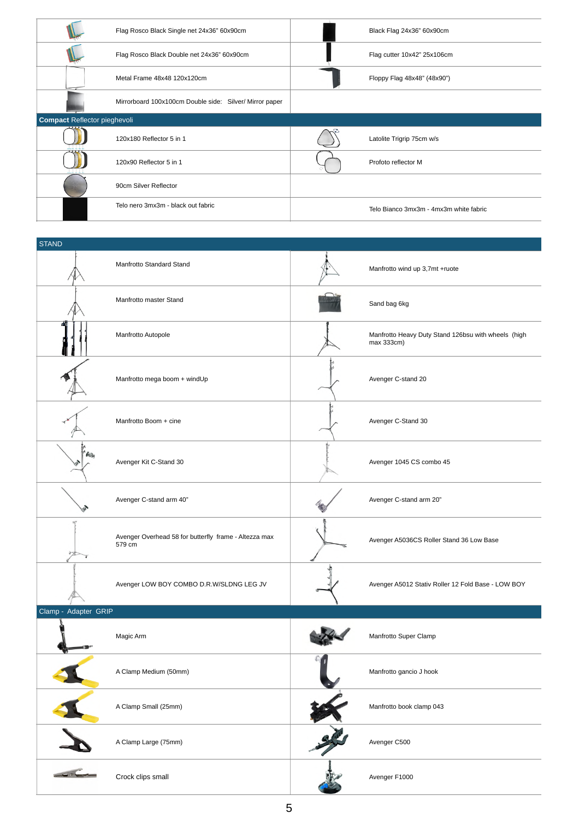|                                     | Flag Rosco Black Single net 24x36" 60x90cm              | Black Flag 24x36" 60x90cm              |
|-------------------------------------|---------------------------------------------------------|----------------------------------------|
|                                     | Flag Rosco Black Double net 24x36" 60x90cm              | Flag cutter 10x42" 25x106cm            |
|                                     | Metal Frame 48x48 120x120cm                             | Floppy Flag 48x48" (48x90")            |
|                                     | Mirrorboard 100x100cm Double side: Silver/ Mirror paper |                                        |
| <b>Compact Reflector pieghevoli</b> |                                                         |                                        |
|                                     | 120x180 Reflector 5 in 1                                | Latolite Trigrip 75cm w/s              |
|                                     | 120x90 Reflector 5 in 1                                 | Profoto reflector M                    |
|                                     | 90cm Silver Reflector                                   |                                        |
|                                     | Telo nero 3mx3m - black out fabric                      | Telo Bianco 3mx3m - 4mx3m white fabric |

| <b>STAND</b>         |                                                                 |                                                                   |
|----------------------|-----------------------------------------------------------------|-------------------------------------------------------------------|
|                      | Manfrotto Standard Stand                                        | Manfrotto wind up 3,7mt +ruote                                    |
|                      | Manfrotto master Stand                                          | Sand bag 6kg                                                      |
|                      | Manfrotto Autopole                                              | Manfrotto Heavy Duty Stand 126bsu with wheels (high<br>max 333cm) |
|                      | Manfrotto mega boom + windUp                                    | Avenger C-stand 20                                                |
|                      | Manfrotto Boom + cine                                           | Avenger C-Stand 30                                                |
| ' Fozy               | Avenger Kit C-Stand 30                                          | Avenger 1045 CS combo 45                                          |
|                      | Avenger C-stand arm 40"                                         | Avenger C-stand arm 20"                                           |
|                      | Avenger Overhead 58 for butterfly frame - Altezza max<br>579 cm | Avenger A5036CS Roller Stand 36 Low Base                          |
|                      | Avenger LOW BOY COMBO D.R.W/SLDNG LEG JV                        | Avenger A5012 Stativ Roller 12 Fold Base - LOW BOY                |
| Clamp - Adapter GRIP |                                                                 |                                                                   |
|                      | Magic Arm                                                       | Manfrotto Super Clamp                                             |
|                      | A Clamp Medium (50mm)                                           | Manfrotto gancio J hook                                           |
|                      | A Clamp Small (25mm)                                            | Manfrotto book clamp 043                                          |
|                      | A Clamp Large (75mm)                                            | Avenger C500                                                      |

Crock clips small **Crock clips small** Avenger F1000

 $\frac{1}{\sqrt{1-\frac{1}{2}}}\left( \frac{1}{\sqrt{1-\frac{1}{2}}}\right) ^{2}$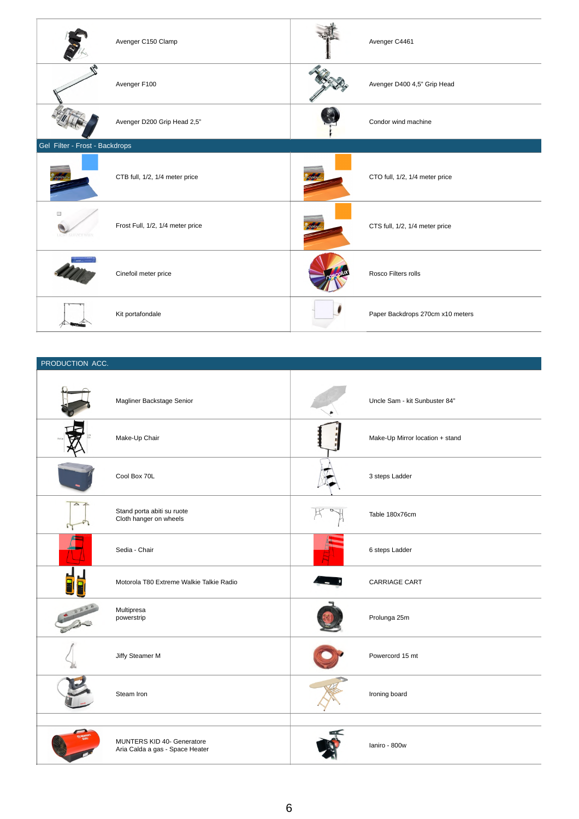|                                | Avenger C150 Clamp               | Avenger C4461                    |
|--------------------------------|----------------------------------|----------------------------------|
|                                | Avenger F100                     | Avenger D400 4,5" Grip Head      |
|                                | Avenger D200 Grip Head 2,5"      | Condor wind machine              |
| Gel Filter - Frost - Backdrops |                                  |                                  |
|                                | CTB full, 1/2, 1/4 meter price   | CTO full, 1/2, 1/4 meter price   |
| $\Box$<br><b>ASERVICE WI</b>   | Frost Full, 1/2, 1/4 meter price | CTS full, 1/2, 1/4 meter price   |
|                                | Cinefoil meter price             | Rosco Filters rolls              |
|                                | Kit portafondale                 | Paper Backdrops 270cm x10 meters |

## PRODUCTION ACC.

|                    | Magliner Backstage Senior                                     | Uncle Sam - kit Sunbuster 84"   |
|--------------------|---------------------------------------------------------------|---------------------------------|
|                    | Make-Up Chair                                                 | Make-Up Mirror location + stand |
|                    | Cool Box 70L                                                  | 3 steps Ladder                  |
| $\triangle$ $\neq$ | Stand porta abiti su ruote<br>Cloth hanger on wheels          | Table 180x76cm                  |
|                    | Sedia - Chair                                                 | 6 steps Ladder                  |
|                    | Motorola T80 Extreme Walkie Talkie Radio                      | <b>CARRIAGE CART</b>            |
|                    | Multipresa<br>powerstrip                                      | Prolunga 25m                    |
|                    | Jiffy Steamer M                                               | Powercord 15 mt                 |
|                    | Steam Iron                                                    | Ironing board                   |
|                    |                                                               |                                 |
|                    | MUNTERS KID 40- Generatore<br>Aria Calda a gas - Space Heater | laniro - 800w                   |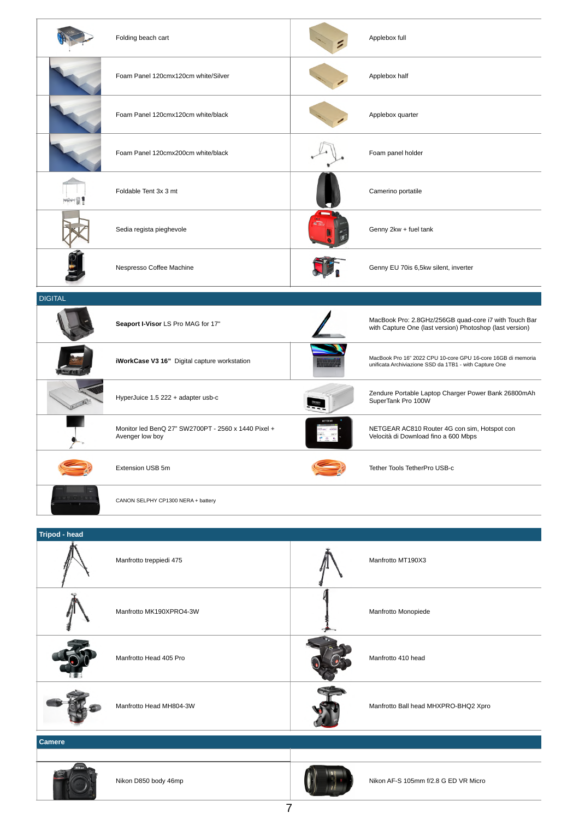|                      | Folding beach cart                                                     | Applebox full                                                                                                          |
|----------------------|------------------------------------------------------------------------|------------------------------------------------------------------------------------------------------------------------|
|                      | Foam Panel 120cmx120cm white/Silver                                    | Applebox half                                                                                                          |
|                      | Foam Panel 120cmx120cm white/black                                     | Applebox quarter                                                                                                       |
|                      | Foam Panel 120cmx200cm white/black                                     | Foam panel holder                                                                                                      |
|                      | Foldable Tent 3x 3 mt                                                  | Camerino portatile                                                                                                     |
|                      | Sedia regista pieghevole                                               | Genny 2kw + fuel tank                                                                                                  |
|                      | Nespresso Coffee Machine                                               | Genny EU 70is 6,5kw silent, inverter                                                                                   |
| <b>DIGITAL</b>       |                                                                        |                                                                                                                        |
|                      | Seaport I-Visor LS Pro MAG for 17"                                     | MacBook Pro: 2.8GHz/256GB quad-core i7 with Touch Bar<br>with Capture One (last version) Photoshop (last version)      |
|                      | iWorkCase V3 16" Digital capture workstation                           | MacBook Pro 16" 2022 CPU 10-core GPU 16-core 16GB di memoria<br>unificata Archiviazione SSD da 1TB1 - with Capture One |
|                      | HyperJuice 1.5 222 + adapter usb-c                                     | Zendure Portable Laptop Charger Power Bank 26800mAh<br>SuperTank Pro 100W                                              |
|                      | Monitor led BenQ 27" SW2700PT - 2560 x 1440 Pixel +<br>Avenger low boy | NETGEAR AC810 Router 4G con sim, Hotspot con<br>Velocità di Download fino a 600 Mbps                                   |
|                      | Extension USB 5m                                                       | Tether Tools TetherPro USB-c                                                                                           |
|                      | CANON SELPHY CP1300 NERA + battery                                     |                                                                                                                        |
| <b>Tripod - head</b> |                                                                        |                                                                                                                        |
|                      | Manfrotto treppiedi 475                                                | Manfrotto MT190X3                                                                                                      |
|                      | Manfrotto MK190XPRO4-3W                                                | Manfrotto Monopiede                                                                                                    |

**Camere** 





Nikon D850 body 46mp Nikon AF-S 105mm f/2.8 G ED VR Microsoft Nikon AF-S 105mm f/2.8 G ED VR Microsoft Nikon AF-S 105mm f/2.8 G ED VR Micro

Manfrotto Head MH804-3W Manfrotto Ball head MHXPRO-BHQ2 Xpro

Manfrotto Head 405 Pro **Manfrotto 410 head**